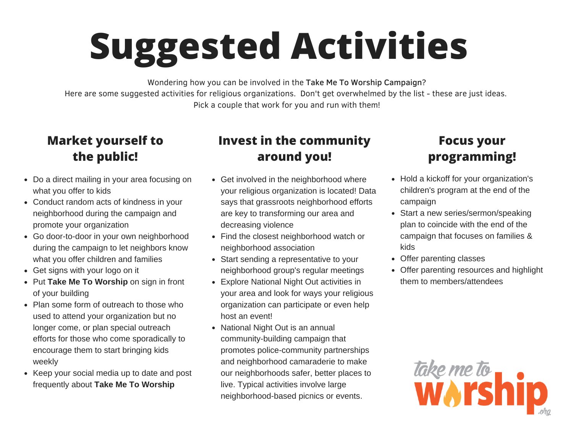# **Suggested Activities**

Wondering how you can be involved in the Take Me To Worship Campaign? Here are some suggested activities for religious organizations. Don't get overwhelmed by the list - these are just ideas. Pick a couple that work for you and run with them!

### **Market yourself to the public!**

- Do a direct mailing in your area focusing on what you offer to kids
- Conduct random acts of kindness in your neighborhood during the campaign and promote your organization
- Go door-to-door in your own neighborhood during the campaign to let neighbors know what you offer children and families
- Get signs with your logo on it
- Put **Take Me To Worship** on sign in front of your building
- Plan some form of outreach to those who used to attend your organization but no longer come, or plan special outreach efforts for those who come sporadically to encourage them to start bringing kids weekly
- Keep your social media up to date and post frequently about **Take Me To Worship**

### **Invest in the community around you!**

- Get involved in the neighborhood where your religious organization is located! Data says that grassroots neighborhood efforts are key to transforming our area and decreasing violence
- Find the closest neighborhood watch or neighborhood association
- Start sending a representative to your neighborhood group's regular meetings
- Explore National Night Out activities in your area and look for ways your religious organization can participate or even help host an event!
- National Night Out is an annual community-building campaign that promotes police-community partnerships and neighborhood camaraderie to make our neighborhoods safer, better places to live. Typical activities involve large neighborhood-based picnics or events.

## **Focus your programming!**

- Hold a kickoff for your organization's children's program at the end of the campaign
- Start a new series/sermon/speaking plan to coincide with the end of the campaign that focuses on families & kids
- Offer parenting classes
- Offer parenting resources and highlight them to members/attendees